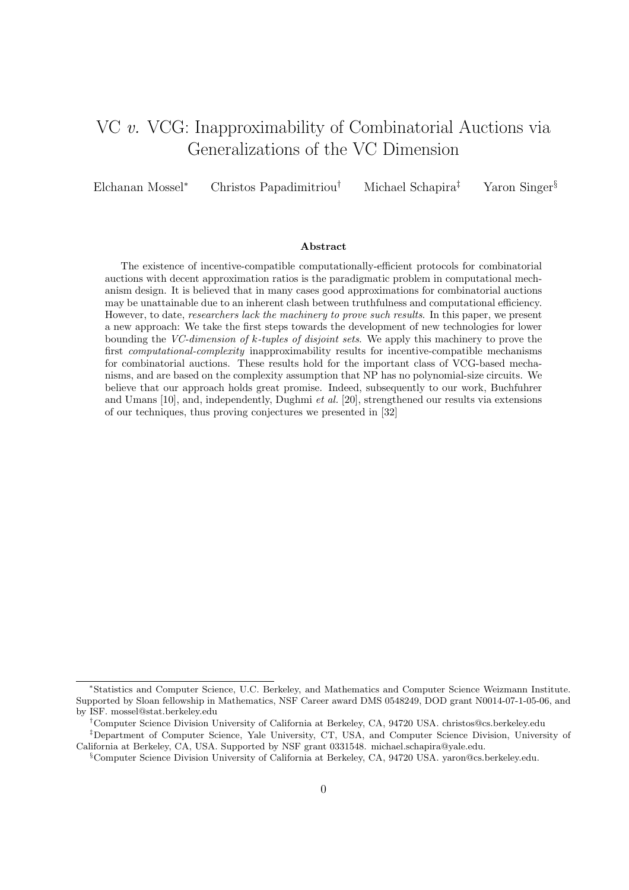# VC v. VCG: Inapproximability of Combinatorial Auctions via Generalizations of the VC Dimension

Elchanan Mossel<sup>∗</sup> Christos Papadimitriou† Michael Schapira‡ Yaron Singer§

#### Abstract

The existence of incentive-compatible computationally-efficient protocols for combinatorial auctions with decent approximation ratios is the paradigmatic problem in computational mechanism design. It is believed that in many cases good approximations for combinatorial auctions may be unattainable due to an inherent clash between truthfulness and computational efficiency. However, to date, researchers lack the machinery to prove such results. In this paper, we present a new approach: We take the first steps towards the development of new technologies for lower bounding the VC-dimension of k-tuples of disjoint sets. We apply this machinery to prove the first *computational-complexity* inapproximability results for incentive-compatible mechanisms for combinatorial auctions. These results hold for the important class of VCG-based mechanisms, and are based on the complexity assumption that NP has no polynomial-size circuits. We believe that our approach holds great promise. Indeed, subsequently to our work, Buchfuhrer and Umans [10], and, independently, Dughmi et al. [20], strengthened our results via extensions of our techniques, thus proving conjectures we presented in [32]

<sup>∗</sup>Statistics and Computer Science, U.C. Berkeley, and Mathematics and Computer Science Weizmann Institute. Supported by Sloan fellowship in Mathematics, NSF Career award DMS 0548249, DOD grant N0014-07-1-05-06, and by ISF. mossel@stat.berkeley.edu

<sup>†</sup>Computer Science Division University of California at Berkeley, CA, 94720 USA. christos@cs.berkeley.edu ‡Department of Computer Science, Yale University, CT, USA, and Computer Science Division, University of

California at Berkeley, CA, USA. Supported by NSF grant 0331548. michael.schapira@yale.edu.

<sup>§</sup>Computer Science Division University of California at Berkeley, CA, 94720 USA. yaron@cs.berkeley.edu.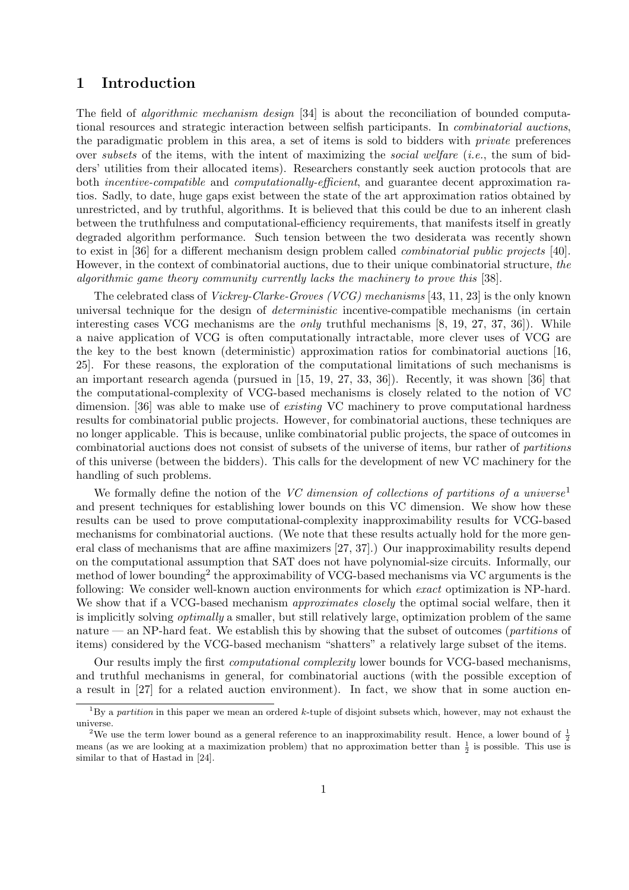# 1 Introduction

The field of *algorithmic mechanism design* [34] is about the reconciliation of bounded computational resources and strategic interaction between selfish participants. In combinatorial auctions, the paradigmatic problem in this area, a set of items is sold to bidders with private preferences over subsets of the items, with the intent of maximizing the social welfare (i.e., the sum of bidders' utilities from their allocated items). Researchers constantly seek auction protocols that are both *incentive-compatible* and *computationally-efficient*, and guarantee decent approximation ratios. Sadly, to date, huge gaps exist between the state of the art approximation ratios obtained by unrestricted, and by truthful, algorithms. It is believed that this could be due to an inherent clash between the truthfulness and computational-efficiency requirements, that manifests itself in greatly degraded algorithm performance. Such tension between the two desiderata was recently shown to exist in [36] for a different mechanism design problem called combinatorial public projects [40]. However, in the context of combinatorial auctions, due to their unique combinatorial structure, the algorithmic game theory community currently lacks the machinery to prove this [38].

The celebrated class of Vickrey-Clarke-Groves (VCG) mechanisms [43, 11, 23] is the only known universal technique for the design of deterministic incentive-compatible mechanisms (in certain interesting cases VCG mechanisms are the only truthful mechanisms [8, 19, 27, 37, 36]). While a naive application of VCG is often computationally intractable, more clever uses of VCG are the key to the best known (deterministic) approximation ratios for combinatorial auctions [16, 25]. For these reasons, the exploration of the computational limitations of such mechanisms is an important research agenda (pursued in [15, 19, 27, 33, 36]). Recently, it was shown [36] that the computational-complexity of VCG-based mechanisms is closely related to the notion of VC dimension. [36] was able to make use of *existing* VC machinery to prove computational hardness results for combinatorial public projects. However, for combinatorial auctions, these techniques are no longer applicable. This is because, unlike combinatorial public projects, the space of outcomes in combinatorial auctions does not consist of subsets of the universe of items, bur rather of partitions of this universe (between the bidders). This calls for the development of new VC machinery for the handling of such problems.

We formally define the notion of the VC dimension of collections of partitions of a universe<sup>1</sup> and present techniques for establishing lower bounds on this VC dimension. We show how these results can be used to prove computational-complexity inapproximability results for VCG-based mechanisms for combinatorial auctions. (We note that these results actually hold for the more general class of mechanisms that are affine maximizers [27, 37].) Our inapproximability results depend on the computational assumption that SAT does not have polynomial-size circuits. Informally, our method of lower bounding<sup>2</sup> the approximability of VCG-based mechanisms via VC arguments is the following: We consider well-known auction environments for which exact optimization is NP-hard. We show that if a VCG-based mechanism *approximates closely* the optimal social welfare, then it is implicitly solving optimally a smaller, but still relatively large, optimization problem of the same nature — an NP-hard feat. We establish this by showing that the subset of outcomes (*partitions* of items) considered by the VCG-based mechanism "shatters" a relatively large subset of the items.

Our results imply the first computational complexity lower bounds for VCG-based mechanisms, and truthful mechanisms in general, for combinatorial auctions (with the possible exception of a result in [27] for a related auction environment). In fact, we show that in some auction en-

<sup>&</sup>lt;sup>1</sup>By a *partition* in this paper we mean an ordered k-tuple of disjoint subsets which, however, may not exhaust the universe.

<sup>&</sup>lt;sup>2</sup>We use the term lower bound as a general reference to an inapproximability result. Hence, a lower bound of  $\frac{1}{2}$ means (as we are looking at a maximization problem) that no approximation better than  $\frac{1}{2}$  is possible. This use is similar to that of Hastad in [24].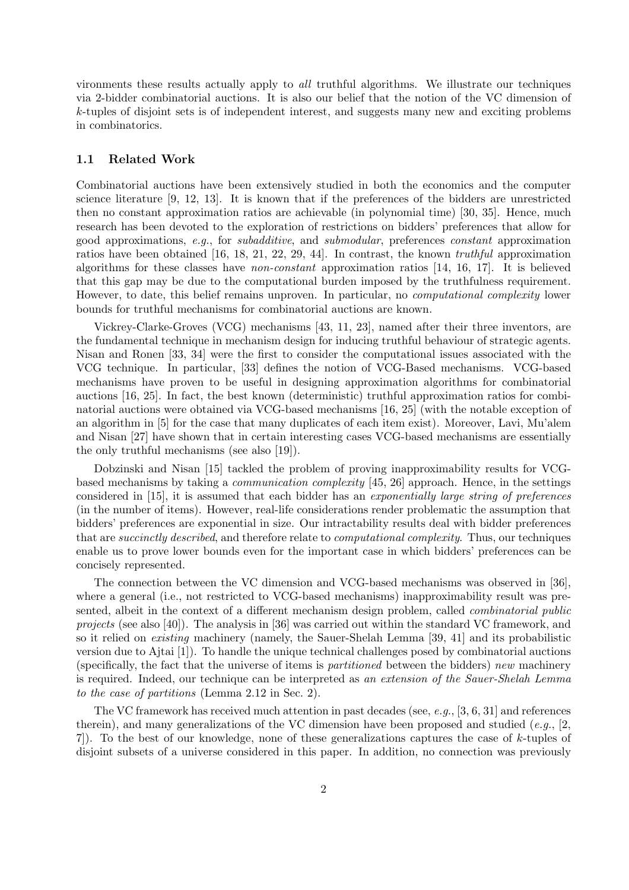vironments these results actually apply to all truthful algorithms. We illustrate our techniques via 2-bidder combinatorial auctions. It is also our belief that the notion of the VC dimension of k-tuples of disjoint sets is of independent interest, and suggests many new and exciting problems in combinatorics.

## 1.1 Related Work

Combinatorial auctions have been extensively studied in both the economics and the computer science literature [9, 12, 13]. It is known that if the preferences of the bidders are unrestricted then no constant approximation ratios are achievable (in polynomial time) [30, 35]. Hence, much research has been devoted to the exploration of restrictions on bidders' preferences that allow for good approximations, e.g., for subadditive, and submodular, preferences constant approximation ratios have been obtained [16, 18, 21, 22, 29, 44]. In contrast, the known truthful approximation algorithms for these classes have non-constant approximation ratios [14, 16, 17]. It is believed that this gap may be due to the computational burden imposed by the truthfulness requirement. However, to date, this belief remains unproven. In particular, no computational complexity lower bounds for truthful mechanisms for combinatorial auctions are known.

Vickrey-Clarke-Groves (VCG) mechanisms [43, 11, 23], named after their three inventors, are the fundamental technique in mechanism design for inducing truthful behaviour of strategic agents. Nisan and Ronen [33, 34] were the first to consider the computational issues associated with the VCG technique. In particular, [33] defines the notion of VCG-Based mechanisms. VCG-based mechanisms have proven to be useful in designing approximation algorithms for combinatorial auctions [16, 25]. In fact, the best known (deterministic) truthful approximation ratios for combinatorial auctions were obtained via VCG-based mechanisms [16, 25] (with the notable exception of an algorithm in [5] for the case that many duplicates of each item exist). Moreover, Lavi, Mu'alem and Nisan [27] have shown that in certain interesting cases VCG-based mechanisms are essentially the only truthful mechanisms (see also [19]).

Dobzinski and Nisan [15] tackled the problem of proving inapproximability results for VCGbased mechanisms by taking a communication complexity [45, 26] approach. Hence, in the settings considered in [15], it is assumed that each bidder has an exponentially large string of preferences (in the number of items). However, real-life considerations render problematic the assumption that bidders' preferences are exponential in size. Our intractability results deal with bidder preferences that are succinctly described, and therefore relate to computational complexity. Thus, our techniques enable us to prove lower bounds even for the important case in which bidders' preferences can be concisely represented.

The connection between the VC dimension and VCG-based mechanisms was observed in [36], where a general (i.e., not restricted to VCG-based mechanisms) inapproximability result was presented, albeit in the context of a different mechanism design problem, called combinatorial public projects (see also [40]). The analysis in [36] was carried out within the standard VC framework, and so it relied on existing machinery (namely, the Sauer-Shelah Lemma [39, 41] and its probabilistic version due to Ajtai [1]). To handle the unique technical challenges posed by combinatorial auctions (specifically, the fact that the universe of items is *partitioned* between the bidders) new machinery is required. Indeed, our technique can be interpreted as an extension of the Sauer-Shelah Lemma to the case of partitions (Lemma 2.12 in Sec. 2).

The VC framework has received much attention in past decades (see,  $e.g., [3, 6, 31]$  and references therein), and many generalizations of the VC dimension have been proposed and studied (e.g., [2,] 7]). To the best of our knowledge, none of these generalizations captures the case of k-tuples of disjoint subsets of a universe considered in this paper. In addition, no connection was previously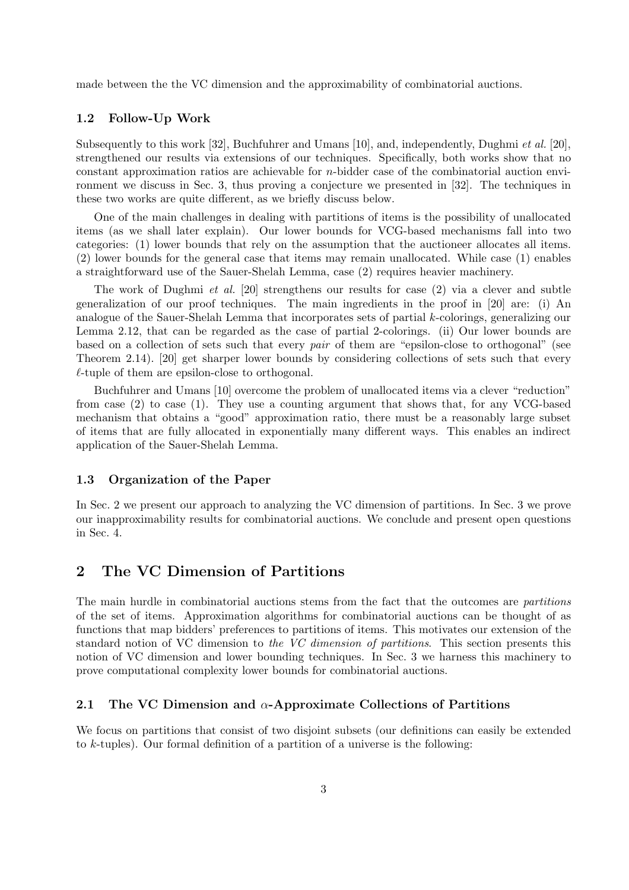made between the the VC dimension and the approximability of combinatorial auctions.

## 1.2 Follow-Up Work

Subsequently to this work [32], Buchfuhrer and Umans [10], and, independently, Dughmi et al. [20], strengthened our results via extensions of our techniques. Specifically, both works show that no constant approximation ratios are achievable for n-bidder case of the combinatorial auction environment we discuss in Sec. 3, thus proving a conjecture we presented in [32]. The techniques in these two works are quite different, as we briefly discuss below.

One of the main challenges in dealing with partitions of items is the possibility of unallocated items (as we shall later explain). Our lower bounds for VCG-based mechanisms fall into two categories: (1) lower bounds that rely on the assumption that the auctioneer allocates all items. (2) lower bounds for the general case that items may remain unallocated. While case (1) enables a straightforward use of the Sauer-Shelah Lemma, case (2) requires heavier machinery.

The work of Dughmi et al. [20] strengthens our results for case (2) via a clever and subtle generalization of our proof techniques. The main ingredients in the proof in [20] are: (i) An analogue of the Sauer-Shelah Lemma that incorporates sets of partial k-colorings, generalizing our Lemma 2.12, that can be regarded as the case of partial 2-colorings. (ii) Our lower bounds are based on a collection of sets such that every pair of them are "epsilon-close to orthogonal" (see Theorem 2.14). [20] get sharper lower bounds by considering collections of sets such that every  $\ell$ -tuple of them are epsilon-close to orthogonal.

Buchfuhrer and Umans [10] overcome the problem of unallocated items via a clever "reduction" from case (2) to case (1). They use a counting argument that shows that, for any VCG-based mechanism that obtains a "good" approximation ratio, there must be a reasonably large subset of items that are fully allocated in exponentially many different ways. This enables an indirect application of the Sauer-Shelah Lemma.

### 1.3 Organization of the Paper

In Sec. 2 we present our approach to analyzing the VC dimension of partitions. In Sec. 3 we prove our inapproximability results for combinatorial auctions. We conclude and present open questions in Sec. 4.

# 2 The VC Dimension of Partitions

The main hurdle in combinatorial auctions stems from the fact that the outcomes are *partitions* of the set of items. Approximation algorithms for combinatorial auctions can be thought of as functions that map bidders' preferences to partitions of items. This motivates our extension of the standard notion of VC dimension to the VC dimension of partitions. This section presents this notion of VC dimension and lower bounding techniques. In Sec. 3 we harness this machinery to prove computational complexity lower bounds for combinatorial auctions.

## 2.1 The VC Dimension and  $\alpha$ -Approximate Collections of Partitions

We focus on partitions that consist of two disjoint subsets (our definitions can easily be extended to  $k$ -tuples). Our formal definition of a partition of a universe is the following: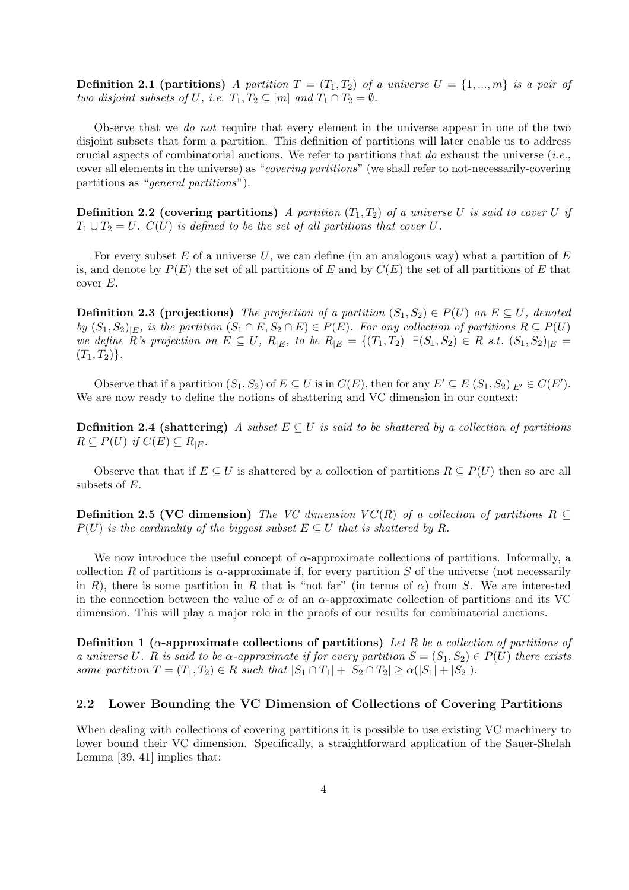**Definition 2.1 (partitions)** A partition  $T = (T_1, T_2)$  of a universe  $U = \{1, ..., m\}$  is a pair of two disjoint subsets of U, i.e.  $T_1, T_2 \subseteq [m]$  and  $T_1 \cap T_2 = \emptyset$ .

Observe that we do not require that every element in the universe appear in one of the two disjoint subsets that form a partition. This definition of partitions will later enable us to address crucial aspects of combinatorial auctions. We refer to partitions that do exhaust the universe (*i.e.*, cover all elements in the universe) as "covering partitions" (we shall refer to not-necessarily-covering partitions as "general partitions").

**Definition 2.2 (covering partitions)** A partition  $(T_1, T_2)$  of a universe U is said to cover U if  $T_1 \cup T_2 = U$ .  $C(U)$  is defined to be the set of all partitions that cover U.

For every subset E of a universe  $U$ , we can define (in an analogous way) what a partition of E is, and denote by  $P(E)$  the set of all partitions of E and by  $C(E)$  the set of all partitions of E that cover E.

**Definition 2.3 (projections)** The projection of a partition  $(S_1, S_2) \in P(U)$  on  $E \subseteq U$ , denoted by  $(S_1, S_2)|_E$ , is the partition  $(S_1 \cap E, S_2 \cap E) \in P(E)$ . For any collection of partitions  $R \subseteq P(U)$ we define R's projection on  $E \subseteq U$ ,  $R_{|E|}$ , to be  $R_{|E|} = \{(T_1, T_2) | \exists (S_1, S_2) \in R \text{ s.t. } (S_1, S_2)_{|E|} =$  $(T_1, T_2)$ .

Observe that if a partition  $(S_1, S_2)$  of  $E \subseteq U$  is in  $C(E)$ , then for any  $E' \subseteq E(S_1, S_2)|_{E'} \in C(E')$ . We are now ready to define the notions of shattering and VC dimension in our context:

**Definition 2.4 (shattering)** A subset  $E \subseteq U$  is said to be shattered by a collection of partitions  $R \subseteq P(U)$  if  $C(E) \subseteq R_{|E}$ .

Observe that that if  $E \subseteq U$  is shattered by a collection of partitions  $R \subseteq P(U)$  then so are all subsets of E.

**Definition 2.5 (VC dimension)** The VC dimension  $VC(R)$  of a collection of partitions  $R \subseteq$  $P(U)$  is the cardinality of the biggest subset  $E \subseteq U$  that is shattered by R.

We now introduce the useful concept of  $\alpha$ -approximate collections of partitions. Informally, a collection R of partitions is  $\alpha$ -approximate if, for every partition S of the universe (not necessarily in R), there is some partition in R that is "not far" (in terms of  $\alpha$ ) from S. We are interested in the connection between the value of  $\alpha$  of an  $\alpha$ -approximate collection of partitions and its VC dimension. This will play a major role in the proofs of our results for combinatorial auctions.

Definition 1 ( $\alpha$ -approximate collections of partitions) Let R be a collection of partitions of a universe U. R is said to be  $\alpha$ -approximate if for every partition  $S = (S_1, S_2) \in P(U)$  there exists some partition  $T = (T_1, T_2) \in R$  such that  $|S_1 \cap T_1| + |S_2 \cap T_2| \ge \alpha(|S_1| + |S_2|)$ .

## 2.2 Lower Bounding the VC Dimension of Collections of Covering Partitions

When dealing with collections of covering partitions it is possible to use existing VC machinery to lower bound their VC dimension. Specifically, a straightforward application of the Sauer-Shelah Lemma [39, 41] implies that: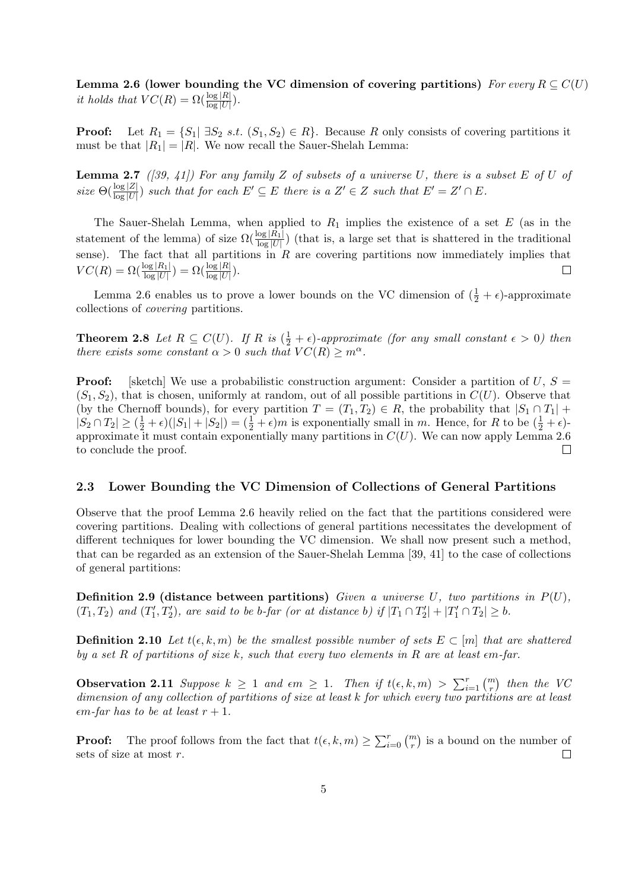Lemma 2.6 (lower bounding the VC dimension of covering partitions) For every  $R \subseteq C(U)$ it holds that  $VC(R) = \Omega(\frac{\log|R|}{\log|U|}).$ 

**Proof:** Let  $R_1 = \{S_1 | \exists S_2 \ s.t. \ (S_1, S_2) \in R\}$ . Because R only consists of covering partitions it must be that  $|R_1| = |R|$ . We now recall the Sauer-Shelah Lemma:

**Lemma 2.7** ([39, 41]) For any family Z of subsets of a universe U, there is a subset E of U of size  $\Theta(\frac{\log |Z|}{\log |U|})$  such that for each  $E' \subseteq E$  there is a  $Z' \in Z$  such that  $E' = Z' \cap E$ .

The Sauer-Shelah Lemma, when applied to  $R_1$  implies the existence of a set E (as in the statement of the lemma) of size  $\Omega(\frac{\log |R_1|}{\log |U|})$  (that is, a large set that is shattered in the traditional sense). The fact that all partitions in  $R$  are covering partitions now immediately implies that  $VC(R) = \Omega(\frac{\log |R_1|}{\log |U|}) = \Omega(\frac{\log |R|}{\log |U|}).$  $\Box$ 

Lemma 2.6 enables us to prove a lower bounds on the VC dimension of  $(\frac{1}{2} + \epsilon)$ -approximate collections of covering partitions.

**Theorem 2.8** Let  $R \subseteq C(U)$ . If R is  $(\frac{1}{2} + \epsilon)$ -approximate (for any small constant  $\epsilon > 0$ ) then there exists some constant  $\alpha > 0$  such that  $VC(R) \geq m^{\alpha}$ .

**Proof:** [sketch] We use a probabilistic construction argument: Consider a partition of  $U, S =$  $(S_1, S_2)$ , that is chosen, uniformly at random, out of all possible partitions in  $C(U)$ . Observe that (by the Chernoff bounds), for every partition  $T = (T_1, T_2) \in R$ , the probability that  $|S_1 \cap T_1|$  +  $|S_2 \cap T_2| \geq (\frac{1}{2} + \epsilon)(|S_1| + |S_2|) = (\frac{1}{2} + \epsilon)m$  is exponentially small in m. Hence, for R to be  $(\frac{1}{2} + \epsilon)$ approximate it must contain exponentially many partitions in  $C(U)$ . We can now apply Lemma 2.6 to conclude the proof.  $\Box$ 

## 2.3 Lower Bounding the VC Dimension of Collections of General Partitions

Observe that the proof Lemma 2.6 heavily relied on the fact that the partitions considered were covering partitions. Dealing with collections of general partitions necessitates the development of different techniques for lower bounding the VC dimension. We shall now present such a method, that can be regarded as an extension of the Sauer-Shelah Lemma [39, 41] to the case of collections of general partitions:

**Definition 2.9 (distance between partitions)** Given a universe U, two partitions in  $P(U)$ ,  $(T_1, T_2)$  and  $(T_1', T_2')$ , are said to be b-far (or at distance b) if  $|T_1 \cap T_2'| + |T_1' \cap T_2| \ge b$ .

**Definition 2.10** Let  $t(\epsilon, k, m)$  be the smallest possible number of sets  $E \subset [m]$  that are shattered by a set R of partitions of size k, such that every two elements in R are at least  $\epsilon$ m-far.

**Observation 2.11** Suppose  $k \geq 1$  and  $\epsilon m \geq 1$ . Then if  $t(\epsilon, k, m) > \sum_{i=1}^{r} {m \choose r}$ ¢ then the VC dimension of any collection of partitions of size at least k for which every two partitions are at least  $\epsilon$ m-far has to be at least  $r + 1$ .

**Proof:** The proof follows from the fact that  $t(\epsilon, k, m) \ge \sum_{i=0}^{r} {m \choose r}$ ¢ is a bound on the number of sets of size at most  $r$ .  $\Box$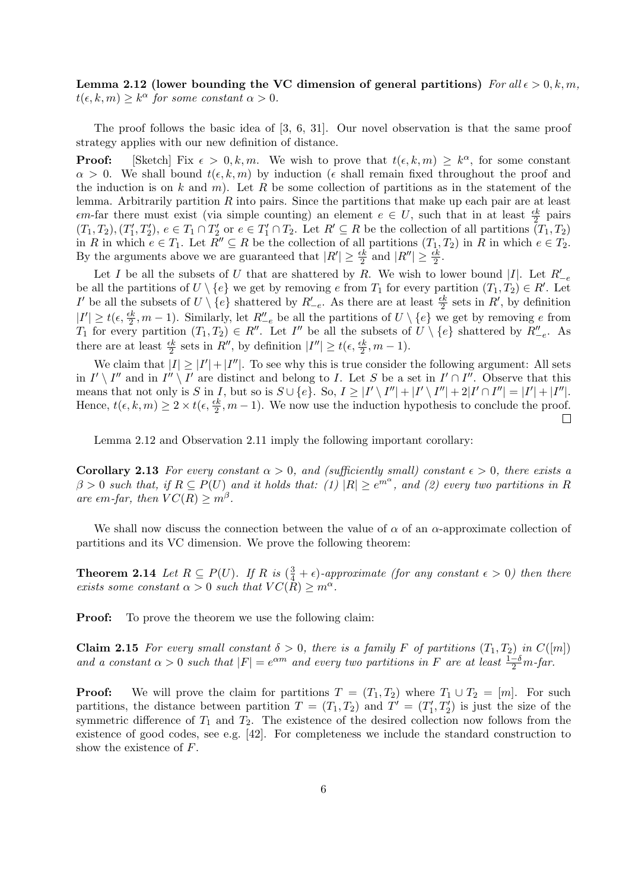Lemma 2.12 (lower bounding the VC dimension of general partitions) For all  $\epsilon > 0, k, m$ ,  $t(\epsilon, k, m) \geq k^{\alpha}$  for some constant  $\alpha > 0$ .

The proof follows the basic idea of [3, 6, 31]. Our novel observation is that the same proof strategy applies with our new definition of distance.

**Proof:** [Sketch] Fix  $\epsilon > 0, k, m$ . We wish to prove that  $t(\epsilon, k, m) \geq k^{\alpha}$ , for some constant  $\alpha > 0$ . We shall bound  $t(\epsilon, k, m)$  by induction ( $\epsilon$  shall remain fixed throughout the proof and the induction is on k and m). Let R be some collection of partitions as in the statement of the lemma. Arbitrarily partition  $R$  into pairs. Since the partitions that make up each pair are at least  $\epsilon m$ -far there must exist (via simple counting) an element  $e \in U$ , such that in at least  $\frac{\epsilon k}{2}$  pairs  $(T_1, T_2), (T_1', T_2'), e \in T_1 \cap T_2'$  or  $e \in T_1' \cap T_2$ . Let  $R' \subseteq R$  be the collection of all partitions  $(T_1, T_2)$ in R in which  $e \in T_1$ . Let  $\overline{R}'' \subseteq R$  be the collection of all partitions  $(T_1, T_2)$  in R in which  $e \in T_2$ . By the arguments above we are guaranteed that  $|R'| \geq \frac{\epsilon k}{2}$  and  $|R''| \geq \frac{\epsilon k}{2}$ .

Let I be all the subsets of U that are shattered by R. We wish to lower bound |I|. Let  $R'_{-e}$ be all the partitions of  $U \setminus \{e\}$  we get by removing e from  $T_1$  for every partition  $(T_1, T_2) \in R'$ . Let I' be all the subsets of  $U \setminus \{e\}$  shattered by  $R'_{-e}$ . As there are at least  $\frac{\epsilon k}{2}$  sets in  $R'$ , by definition  $|I'| \ge t(\epsilon, \frac{\epsilon k}{2}, m-1)$ . Similarly, let  $R_{-e}^{\prime\prime}$  be all the partitions of  $U \setminus \{e\}$  we get by removing e from  $T_1$  for every partition  $(T_1, T_2) \in R''$ . Let  $I''$  be all the subsets of  $U \setminus \{e\}$  shattered by  $R''_{-e}$ . As there are at least  $\frac{\epsilon k}{2}$  sets in  $R''$ , by definition  $|I''| \ge t(\epsilon, \frac{\epsilon k}{2}, m-1)$ .

We claim that  $|I| \geq |I'| + |I''|$ . To see why this is true consider the following argument: All sets in  $I' \setminus I''$  and in  $I'' \setminus I'$  are distinct and belong to I. Let S be a set in  $I' \cap I''$ . Observe that this means that not only is S in I, but so is  $S \cup \{e\}$ . So,  $I \geq |I' \setminus I''| + |I' \setminus I''| + 2|I' \cap I''| = |I'| + |I''|$ . Hence,  $t(\epsilon, k, m) \geq 2 \times t(\epsilon, \frac{\epsilon k}{2}, m - 1)$ . We now use the induction hypothesis to conclude the proof.  $\Box$ 

Lemma 2.12 and Observation 2.11 imply the following important corollary:

Corollary 2.13 For every constant  $\alpha > 0$ , and (sufficiently small) constant  $\epsilon > 0$ , there exists a  $\beta > 0$  such that, if  $R \subseteq P(U)$  and it holds that:  $(1)$   $|R| \ge e^{m\alpha}$ , and  $(2)$  every two partitions in R are  $\epsilon m$ -far, then  $VC(R) \geq m^{\beta}$ .

We shall now discuss the connection between the value of  $\alpha$  of an  $\alpha$ -approximate collection of partitions and its VC dimension. We prove the following theorem:

**Theorem 2.14** Let  $R \subseteq P(U)$ . If R is  $(\frac{3}{4} + \epsilon)$ -approximate (for any constant  $\epsilon > 0$ ) then there exists some constant  $\alpha > 0$  such that  $VC(\tilde{R}) \geq m^{\alpha}$ .

**Proof:** To prove the theorem we use the following claim:

**Claim 2.15** For every small constant  $\delta > 0$ , there is a family F of partitions  $(T_1, T_2)$  in  $C([m])$ and a constant  $\alpha > 0$  such that  $|F| = e^{\alpha m}$  and every two partitions in F are at least  $\frac{1-\delta}{2}m$ -far.

**Proof:** We will prove the claim for partitions  $T = (T_1, T_2)$  where  $T_1 \cup T_2 = [m]$ . For such partitions, the distance between partition  $T = (T_1, T_2)$  and  $T' = (T'_1, T'_2)$  is just the size of the symmetric difference of  $T_1$  and  $T_2$ . The existence of the desired collection now follows from the existence of good codes, see e.g. [42]. For completeness we include the standard construction to show the existence of F.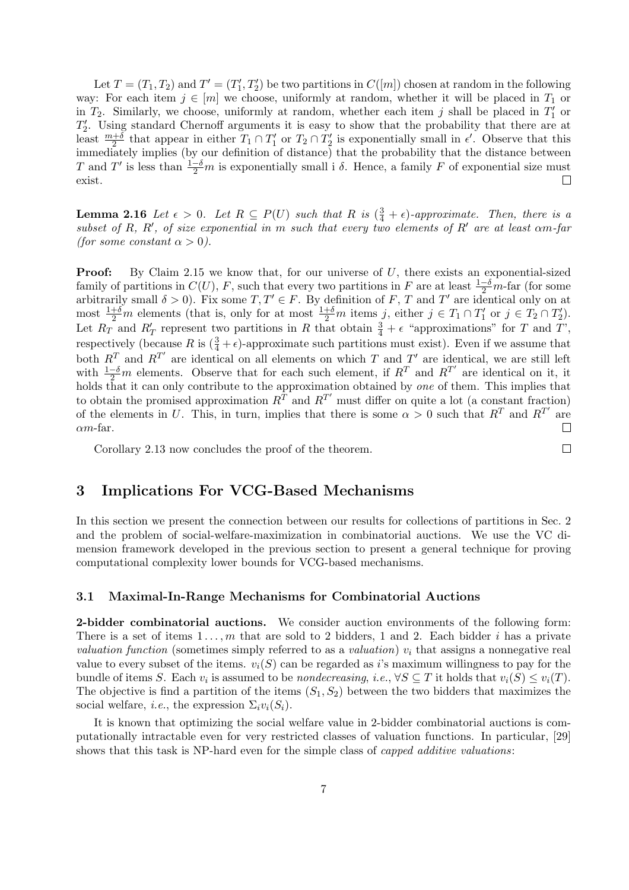Let  $T = (T_1, T_2)$  and  $T' = (T'_1, T'_2)$  be two partitions in  $C([m])$  chosen at random in the following way: For each item  $j \in [m]$  we choose, uniformly at random, whether it will be placed in  $T_1$  or in  $T_2$ . Similarly, we choose, uniformly at random, whether each item j shall be placed in  $T_1'$  or  $T_2'$ . Using standard Chernoff arguments it is easy to show that the probability that there are at least  $\frac{m+\delta}{2}$  that appear in either  $T_1 \cap T_1'$  or  $T_2 \cap T_2'$  is exponentially small in  $\epsilon'$ . Observe that this immediately implies (by our definition of distance) that the probability that the distance between T and T' is less than  $\frac{1-\delta}{2}m$  is exponentially small i  $\delta$ . Hence, a family F of exponential size must exist.

**Lemma 2.16** Let  $\epsilon > 0$ . Let  $R \subseteq P(U)$  such that R is  $(\frac{3}{4} + \epsilon)$ -approximate. Then, there is a subset of R, R', of size exponential in m such that every two elements of R' are at least  $\alpha m$ -far (for some constant  $\alpha > 0$ ).

Proof: By Claim 2.15 we know that, for our universe of U, there exists an exponential-sized family of partitions in  $C(U)$ , F, such that every two partitions in F are at least  $\frac{1-\delta}{2}m$ -far (for some arbitrarily small  $\delta > 0$ ). Fix some  $T, T' \in F$ . By definition of F, T and T' are identical only on at most  $\frac{1+\delta}{2}m$  elements (that is, only for at most  $\frac{1+\delta}{2}m$  items j, either  $j \in T_1 \cap T'_1$  or  $j \in T_2 \cap T'_2$ ). Let  $R_T$  and  $R_T$  represent two partitions in R that obtain  $\frac{3}{4} + \epsilon$  "approximations" for T and T', respectively (because R is  $(\frac{3}{4} + \epsilon)$ -approximate such partitions must exist). Even if we assume that both  $R^T$  and  $R^{T'}$  are identical on all elements on which T and T' are identical, we are still left with  $\frac{1-\delta}{2}m$  elements. Observe that for each such element, if  $R^T$  and  $R^{T'}$  are identical on it, it holds that it can only contribute to the approximation obtained by one of them. This implies that to obtain the promised approximation  $R^{T'}$  and  $R^{T'}$  must differ on quite a lot (a constant fraction) of the elements in U. This, in turn, implies that there is some  $\alpha > 0$  such that  $R^T$  and  $R^{T'}$  are  $\Box$  $\alpha$ *m*-far.

Corollary 2.13 now concludes the proof of the theorem.

# 3 Implications For VCG-Based Mechanisms

In this section we present the connection between our results for collections of partitions in Sec. 2 and the problem of social-welfare-maximization in combinatorial auctions. We use the VC dimension framework developed in the previous section to present a general technique for proving computational complexity lower bounds for VCG-based mechanisms.

 $\Box$ 

### 3.1 Maximal-In-Range Mechanisms for Combinatorial Auctions

2-bidder combinatorial auctions. We consider auction environments of the following form: There is a set of items  $1 \ldots, m$  that are sold to 2 bidders, 1 and 2. Each bidder i has a private valuation function (sometimes simply referred to as a valuation)  $v_i$  that assigns a nonnegative real value to every subset of the items.  $v_i(S)$  can be regarded as i's maximum willingness to pay for the bundle of items S. Each  $v_i$  is assumed to be *nondecreasing*, *i.e.*,  $\forall S \subseteq T$  it holds that  $v_i(S) \le v_i(T)$ . The objective is find a partition of the items  $(S_1, S_2)$  between the two bidders that maximizes the social welfare, *i.e.*, the expression  $\Sigma_i v_i(S_i)$ .

It is known that optimizing the social welfare value in 2-bidder combinatorial auctions is computationally intractable even for very restricted classes of valuation functions. In particular, [29] shows that this task is NP-hard even for the simple class of *capped additive valuations*: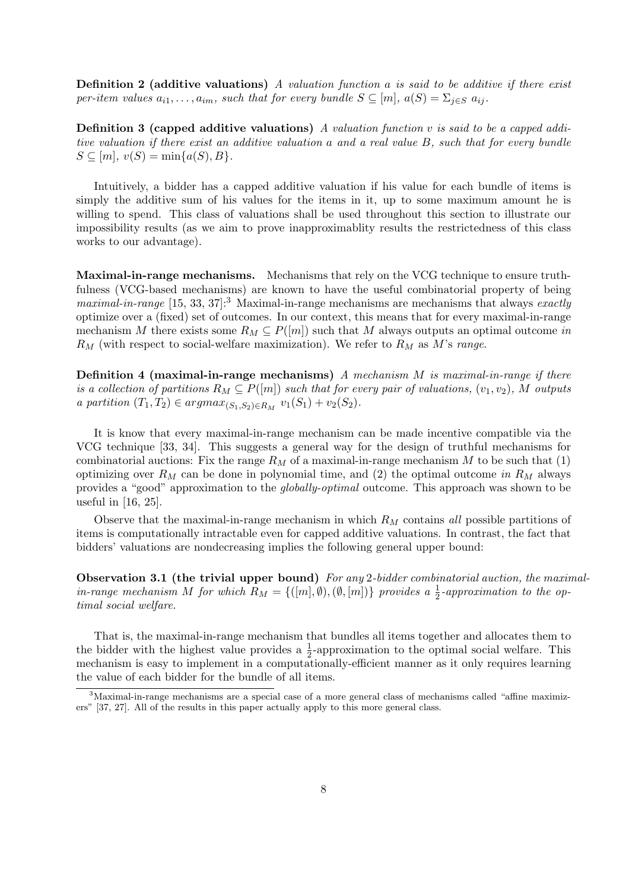**Definition 2 (additive valuations)** A valuation function  $a$  is said to be additive if there exist per-item values  $a_{i1}, \ldots, a_{im}$ , such that for every bundle  $S \subseteq [m]$ ,  $a(S) = \sum_{i \in S} a_{ij}$ .

**Definition 3 (capped additive valuations)** A valuation function v is said to be a capped additive valuation if there exist an additive valuation a and a real value B, such that for every bundle  $S \subseteq [m], v(S) = \min\{a(S), B\}.$ 

Intuitively, a bidder has a capped additive valuation if his value for each bundle of items is simply the additive sum of his values for the items in it, up to some maximum amount he is willing to spend. This class of valuations shall be used throughout this section to illustrate our impossibility results (as we aim to prove inapproximablity results the restrictedness of this class works to our advantage).

Maximal-in-range mechanisms. Mechanisms that rely on the VCG technique to ensure truthfulness (VCG-based mechanisms) are known to have the useful combinatorial property of being maximal-in-range  $[15, 33, 37]$ :<sup>3</sup> Maximal-in-range mechanisms are mechanisms that always exactly optimize over a (fixed) set of outcomes. In our context, this means that for every maximal-in-range mechanism M there exists some  $R_M \subseteq P([m])$  such that M always outputs an optimal outcome in  $R_M$  (with respect to social-welfare maximization). We refer to  $R_M$  as M's range.

**Definition 4 (maximal-in-range mechanisms)** A mechanism  $M$  is maximal-in-range if there is a collection of partitions  $R_M \subseteq P([m])$  such that for every pair of valuations,  $(v_1, v_2)$ , M outputs a partition  $(T_1, T_2) \in argmax_{(S_1, S_2) \in R_M} v_1(S_1) + v_2(S_2)$ .

It is know that every maximal-in-range mechanism can be made incentive compatible via the VCG technique [33, 34]. This suggests a general way for the design of truthful mechanisms for combinatorial auctions: Fix the range  $R_M$  of a maximal-in-range mechanism M to be such that (1) optimizing over  $R_M$  can be done in polynomial time, and (2) the optimal outcome in  $R_M$  always provides a "good" approximation to the globally-optimal outcome. This approach was shown to be useful in [16, 25].

Observe that the maximal-in-range mechanism in which  $R_M$  contains all possible partitions of items is computationally intractable even for capped additive valuations. In contrast, the fact that bidders' valuations are nondecreasing implies the following general upper bound:

Observation 3.1 (the trivial upper bound) For any 2-bidder combinatorial auction, the maximalin-range mechanism M for which  $R_M = \{([m], \emptyset), (\emptyset, [m])\}$  provides a  $\frac{1}{2}$ -approximation to the optimal social welfare.

That is, the maximal-in-range mechanism that bundles all items together and allocates them to the bidder with the highest value provides a  $\frac{1}{2}$ -approximation to the optimal social welfare. This mechanism is easy to implement in a computationally-efficient manner as it only requires learning the value of each bidder for the bundle of all items.

<sup>&</sup>lt;sup>3</sup>Maximal-in-range mechanisms are a special case of a more general class of mechanisms called "affine maximizers" [37, 27]. All of the results in this paper actually apply to this more general class.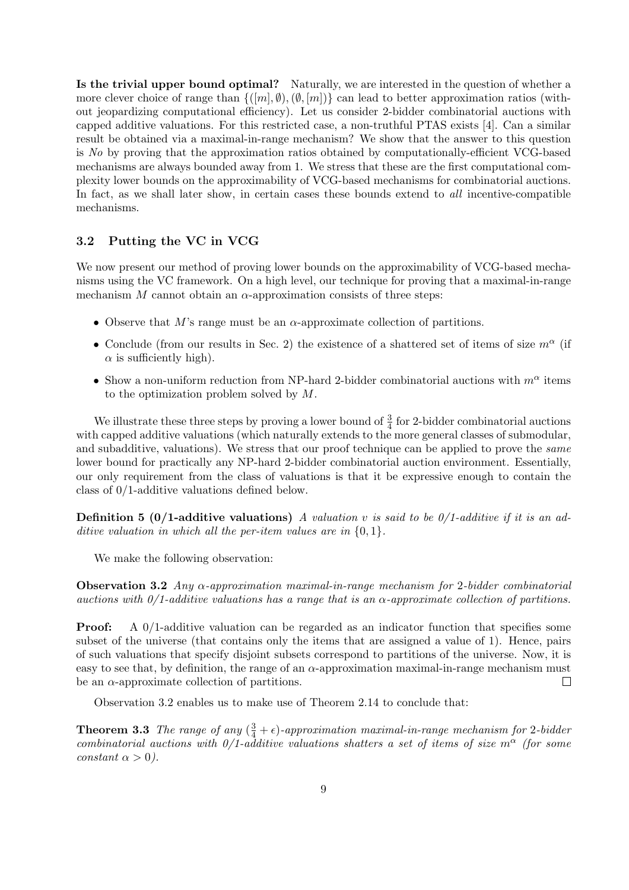Is the trivial upper bound optimal? Naturally, we are interested in the question of whether a more clever choice of range than  $\{([m], \emptyset), (\emptyset, [m])\}$  can lead to better approximation ratios (without jeopardizing computational efficiency). Let us consider 2-bidder combinatorial auctions with capped additive valuations. For this restricted case, a non-truthful PTAS exists [4]. Can a similar result be obtained via a maximal-in-range mechanism? We show that the answer to this question is No by proving that the approximation ratios obtained by computationally-efficient VCG-based mechanisms are always bounded away from 1. We stress that these are the first computational complexity lower bounds on the approximability of VCG-based mechanisms for combinatorial auctions. In fact, as we shall later show, in certain cases these bounds extend to *all* incentive-compatible mechanisms.

## 3.2 Putting the VC in VCG

We now present our method of proving lower bounds on the approximability of VCG-based mechanisms using the VC framework. On a high level, our technique for proving that a maximal-in-range mechanism  $M$  cannot obtain an  $\alpha$ -approximation consists of three steps:

- Observe that M's range must be an  $\alpha$ -approximate collection of partitions.
- Conclude (from our results in Sec. 2) the existence of a shattered set of items of size  $m^{\alpha}$  (if  $\alpha$  is sufficiently high).
- Show a non-uniform reduction from NP-hard 2-bidder combinatorial auctions with  $m^{\alpha}$  items to the optimization problem solved by M.

We illustrate these three steps by proving a lower bound of  $\frac{3}{4}$  for 2-bidder combinatorial auctions with capped additive valuations (which naturally extends to the more general classes of submodular, and subadditive, valuations). We stress that our proof technique can be applied to prove the same lower bound for practically any NP-hard 2-bidder combinatorial auction environment. Essentially, our only requirement from the class of valuations is that it be expressive enough to contain the class of 0/1-additive valuations defined below.

**Definition 5 (0/1-additive valuations)** A valuation v is said to be  $0/1$ -additive if it is an additive valuation in which all the per-item values are in  $\{0, 1\}$ .

We make the following observation:

**Observation 3.2** Any  $\alpha$ -approximation maximal-in-range mechanism for 2-bidder combinatorial auctions with  $0/1$ -additive valuations has a range that is an  $\alpha$ -approximate collection of partitions.

Proof: A 0/1-additive valuation can be regarded as an indicator function that specifies some subset of the universe (that contains only the items that are assigned a value of 1). Hence, pairs of such valuations that specify disjoint subsets correspond to partitions of the universe. Now, it is easy to see that, by definition, the range of an  $\alpha$ -approximation maximal-in-range mechanism must be an  $\alpha$ -approximate collection of partitions.  $\Box$ 

Observation 3.2 enables us to make use of Theorem 2.14 to conclude that:

**Theorem 3.3** The range of any  $(\frac{3}{4} + \epsilon)$ -approximation maximal-in-range mechanism for 2-bidder combinatorial auctions with  $0/1$ -additive valuations shatters a set of items of size  $m^{\alpha}$  (for some constant  $\alpha > 0$ ).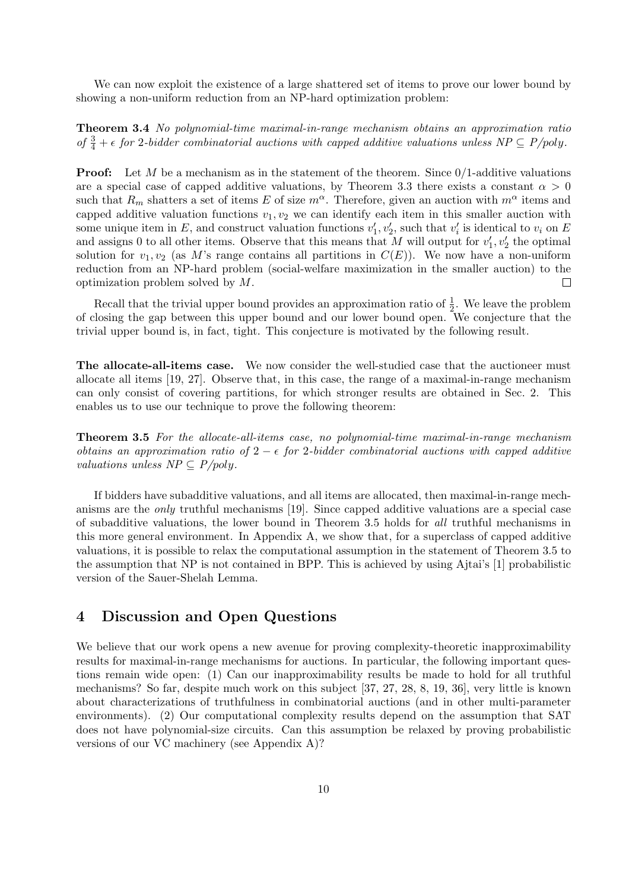We can now exploit the existence of a large shattered set of items to prove our lower bound by showing a non-uniform reduction from an NP-hard optimization problem:

Theorem 3.4 No polynomial-time maximal-in-range mechanism obtains an approximation ratio of  $\frac{3}{4} + \epsilon$  for 2-bidder combinatorial auctions with capped additive valuations unless  $NP \subseteq P/poly$ .

**Proof:** Let M be a mechanism as in the statement of the theorem. Since  $0/1$ -additive valuations are a special case of capped additive valuations, by Theorem 3.3 there exists a constant  $\alpha > 0$ such that  $R_m$  shatters a set of items E of size  $m^\alpha$ . Therefore, given an auction with  $m^\alpha$  items and capped additive valuation functions  $v_1, v_2$  we can identify each item in this smaller auction with some unique item in E, and construct valuation functions  $v'_1, v'_2$ , such that  $v'_i$  is identical to  $v_i$  on E and assigns 0 to all other items. Observe that this means that M will output for  $v'_1, v'_2$  the optimal solution for  $v_1, v_2$  (as M's range contains all partitions in  $C(E)$ ). We now have a non-uniform reduction from an NP-hard problem (social-welfare maximization in the smaller auction) to the optimization problem solved by M.  $\Box$ 

Recall that the trivial upper bound provides an approximation ratio of  $\frac{1}{2}$ . We leave the problem of closing the gap between this upper bound and our lower bound open. We conjecture that the trivial upper bound is, in fact, tight. This conjecture is motivated by the following result.

The allocate-all-items case. We now consider the well-studied case that the auctioneer must allocate all items [19, 27]. Observe that, in this case, the range of a maximal-in-range mechanism can only consist of covering partitions, for which stronger results are obtained in Sec. 2. This enables us to use our technique to prove the following theorem:

Theorem 3.5 For the allocate-all-items case, no polynomial-time maximal-in-range mechanism obtains an approximation ratio of  $2 - \epsilon$  for 2-bidder combinatorial auctions with capped additive valuations unless  $NP \subseteq P/poly$ .

If bidders have subadditive valuations, and all items are allocated, then maximal-in-range mechanisms are the only truthful mechanisms [19]. Since capped additive valuations are a special case of subadditive valuations, the lower bound in Theorem 3.5 holds for all truthful mechanisms in this more general environment. In Appendix A, we show that, for a superclass of capped additive valuations, it is possible to relax the computational assumption in the statement of Theorem 3.5 to the assumption that NP is not contained in BPP. This is achieved by using Ajtai's [1] probabilistic version of the Sauer-Shelah Lemma.

# 4 Discussion and Open Questions

We believe that our work opens a new avenue for proving complexity-theoretic inapproximability results for maximal-in-range mechanisms for auctions. In particular, the following important questions remain wide open: (1) Can our inapproximability results be made to hold for all truthful mechanisms? So far, despite much work on this subject [37, 27, 28, 8, 19, 36], very little is known about characterizations of truthfulness in combinatorial auctions (and in other multi-parameter environments). (2) Our computational complexity results depend on the assumption that SAT does not have polynomial-size circuits. Can this assumption be relaxed by proving probabilistic versions of our VC machinery (see Appendix A)?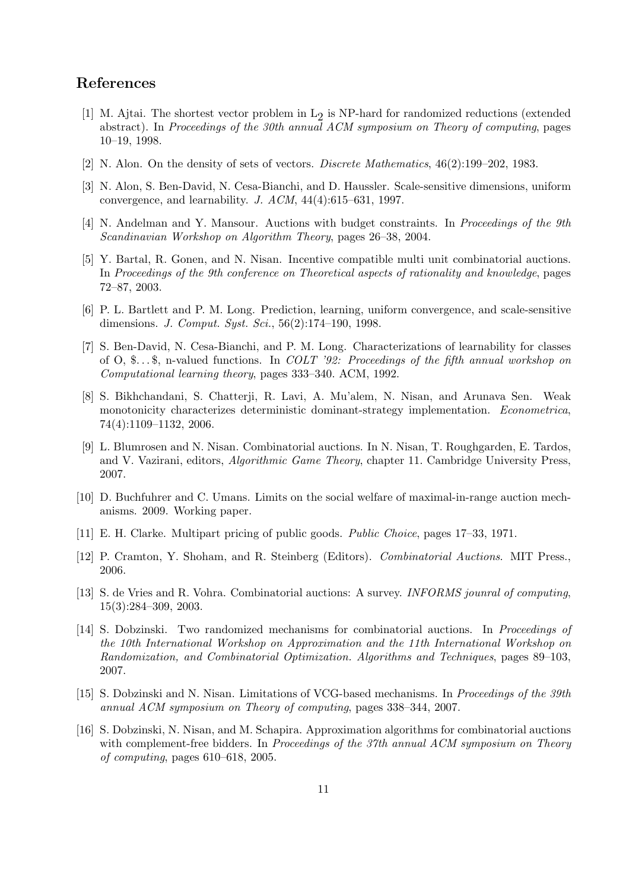# References

- [1] M. Ajtai. The shortest vector problem in  $L_2$  is NP-hard for randomized reductions (extended abstract). In Proceedings of the 30th annual ACM symposium on Theory of computing, pages 10–19, 1998.
- [2] N. Alon. On the density of sets of vectors. Discrete Mathematics, 46(2):199–202, 1983.
- [3] N. Alon, S. Ben-David, N. Cesa-Bianchi, and D. Haussler. Scale-sensitive dimensions, uniform convergence, and learnability. J.  $ACM$ ,  $44(4):615-631$ , 1997.
- [4] N. Andelman and Y. Mansour. Auctions with budget constraints. In Proceedings of the 9th Scandinavian Workshop on Algorithm Theory, pages 26–38, 2004.
- [5] Y. Bartal, R. Gonen, and N. Nisan. Incentive compatible multi unit combinatorial auctions. In Proceedings of the 9th conference on Theoretical aspects of rationality and knowledge, pages 72–87, 2003.
- [6] P. L. Bartlett and P. M. Long. Prediction, learning, uniform convergence, and scale-sensitive dimensions. *J. Comput. Syst. Sci.*, 56(2):174–190, 1998.
- [7] S. Ben-David, N. Cesa-Bianchi, and P. M. Long. Characterizations of learnability for classes of O, \$...\$, n-valued functions. In *COLT* '92: Proceedings of the fifth annual workshop on Computational learning theory, pages 333–340. ACM, 1992.
- [8] S. Bikhchandani, S. Chatterji, R. Lavi, A. Mu'alem, N. Nisan, and Arunava Sen. Weak monotonicity characterizes deterministic dominant-strategy implementation. Econometrica, 74(4):1109–1132, 2006.
- [9] L. Blumrosen and N. Nisan. Combinatorial auctions. In N. Nisan, T. Roughgarden, E. Tardos, and V. Vazirani, editors, Algorithmic Game Theory, chapter 11. Cambridge University Press, 2007.
- [10] D. Buchfuhrer and C. Umans. Limits on the social welfare of maximal-in-range auction mechanisms. 2009. Working paper.
- [11] E. H. Clarke. Multipart pricing of public goods. Public Choice, pages 17–33, 1971.
- [12] P. Cramton, Y. Shoham, and R. Steinberg (Editors). Combinatorial Auctions. MIT Press., 2006.
- [13] S. de Vries and R. Vohra. Combinatorial auctions: A survey. INFORMS jounral of computing, 15(3):284–309, 2003.
- [14] S. Dobzinski. Two randomized mechanisms for combinatorial auctions. In Proceedings of the 10th International Workshop on Approximation and the 11th International Workshop on Randomization, and Combinatorial Optimization. Algorithms and Techniques, pages 89–103, 2007.
- [15] S. Dobzinski and N. Nisan. Limitations of VCG-based mechanisms. In Proceedings of the 39th annual ACM symposium on Theory of computing, pages 338–344, 2007.
- [16] S. Dobzinski, N. Nisan, and M. Schapira. Approximation algorithms for combinatorial auctions with complement-free bidders. In Proceedings of the 37th annual ACM symposium on Theory of computing, pages 610–618, 2005.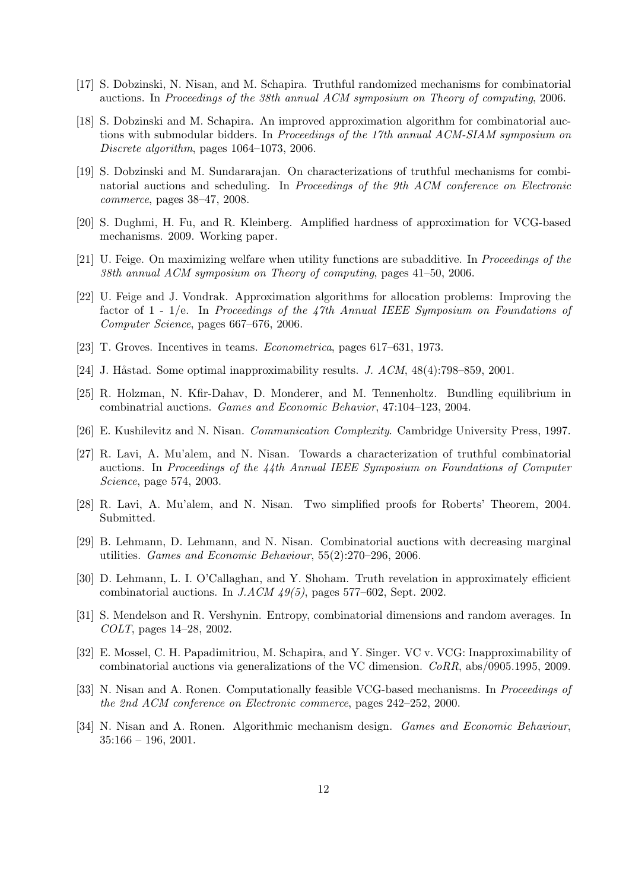- [17] S. Dobzinski, N. Nisan, and M. Schapira. Truthful randomized mechanisms for combinatorial auctions. In Proceedings of the 38th annual ACM symposium on Theory of computing, 2006.
- [18] S. Dobzinski and M. Schapira. An improved approximation algorithm for combinatorial auctions with submodular bidders. In *Proceedings of the 17th annual ACM-SIAM symposium on* Discrete algorithm, pages 1064–1073, 2006.
- [19] S. Dobzinski and M. Sundararajan. On characterizations of truthful mechanisms for combinatorial auctions and scheduling. In Proceedings of the 9th ACM conference on Electronic commerce, pages 38–47, 2008.
- [20] S. Dughmi, H. Fu, and R. Kleinberg. Amplified hardness of approximation for VCG-based mechanisms. 2009. Working paper.
- [21] U. Feige. On maximizing welfare when utility functions are subadditive. In Proceedings of the 38th annual ACM symposium on Theory of computing, pages 41–50, 2006.
- [22] U. Feige and J. Vondrak. Approximation algorithms for allocation problems: Improving the factor of  $1$  -  $1/e$ . In Proceedings of the 47th Annual IEEE Symposium on Foundations of Computer Science, pages 667–676, 2006.
- [23] T. Groves. Incentives in teams. Econometrica, pages 617–631, 1973.
- [24] J. Håstad. Some optimal inapproximability results. J.  $ACM$ ,  $48(4)$ : 798–859, 2001.
- [25] R. Holzman, N. Kfir-Dahav, D. Monderer, and M. Tennenholtz. Bundling equilibrium in combinatrial auctions. Games and Economic Behavior, 47:104–123, 2004.
- [26] E. Kushilevitz and N. Nisan. Communication Complexity. Cambridge University Press, 1997.
- [27] R. Lavi, A. Mu'alem, and N. Nisan. Towards a characterization of truthful combinatorial auctions. In Proceedings of the 44th Annual IEEE Symposium on Foundations of Computer Science, page 574, 2003.
- [28] R. Lavi, A. Mu'alem, and N. Nisan. Two simplified proofs for Roberts' Theorem, 2004. Submitted.
- [29] B. Lehmann, D. Lehmann, and N. Nisan. Combinatorial auctions with decreasing marginal utilities. Games and Economic Behaviour, 55(2):270–296, 2006.
- [30] D. Lehmann, L. I. O'Callaghan, and Y. Shoham. Truth revelation in approximately efficient combinatorial auctions. In  $JACM$  49(5), pages 577–602, Sept. 2002.
- [31] S. Mendelson and R. Vershynin. Entropy, combinatorial dimensions and random averages. In COLT, pages 14–28, 2002.
- [32] E. Mossel, C. H. Papadimitriou, M. Schapira, and Y. Singer. VC v. VCG: Inapproximability of combinatorial auctions via generalizations of the VC dimension. CoRR, abs/0905.1995, 2009.
- [33] N. Nisan and A. Ronen. Computationally feasible VCG-based mechanisms. In *Proceedings of* the 2nd ACM conference on Electronic commerce, pages 242–252, 2000.
- [34] N. Nisan and A. Ronen. Algorithmic mechanism design. Games and Economic Behaviour,  $35:166 - 196, 2001.$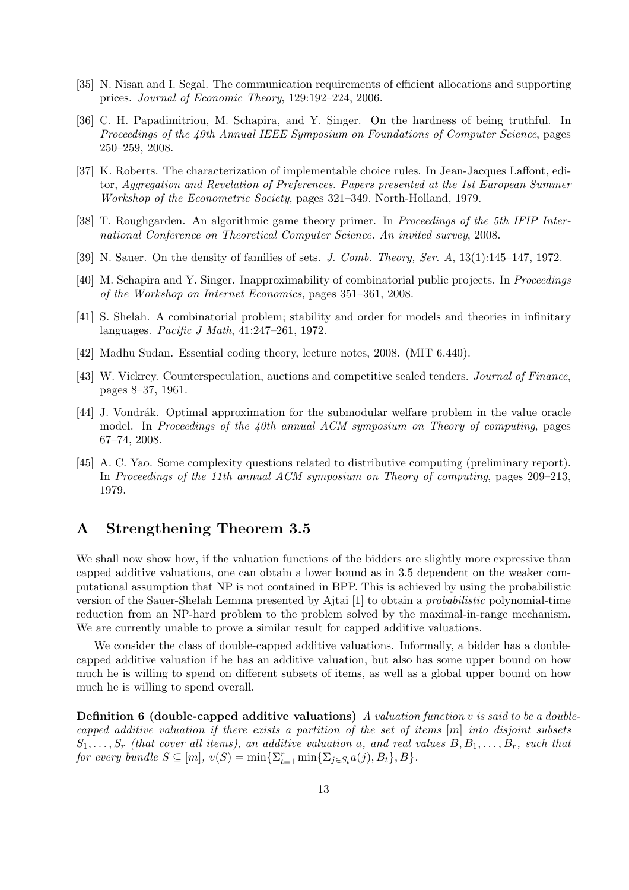- [35] N. Nisan and I. Segal. The communication requirements of efficient allocations and supporting prices. Journal of Economic Theory, 129:192–224, 2006.
- [36] C. H. Papadimitriou, M. Schapira, and Y. Singer. On the hardness of being truthful. In Proceedings of the 49th Annual IEEE Symposium on Foundations of Computer Science, pages 250–259, 2008.
- [37] K. Roberts. The characterization of implementable choice rules. In Jean-Jacques Laffont, editor, Aggregation and Revelation of Preferences. Papers presented at the 1st European Summer Workshop of the Econometric Society, pages 321–349. North-Holland, 1979.
- [38] T. Roughgarden. An algorithmic game theory primer. In *Proceedings of the 5th IFIP Inter*national Conference on Theoretical Computer Science. An invited survey, 2008.
- [39] N. Sauer. On the density of families of sets. J. Comb. Theory, Ser. A,  $13(1):145-147$ , 1972.
- [40] M. Schapira and Y. Singer. Inapproximability of combinatorial public projects. In Proceedings of the Workshop on Internet Economics, pages 351–361, 2008.
- [41] S. Shelah. A combinatorial problem; stability and order for models and theories in infinitary languages. Pacific J Math, 41:247–261, 1972.
- [42] Madhu Sudan. Essential coding theory, lecture notes, 2008. (MIT 6.440).
- [43] W. Vickrey. Counterspeculation, auctions and competitive sealed tenders. Journal of Finance, pages 8–37, 1961.
- [44] J. Vondrák. Optimal approximation for the submodular welfare problem in the value oracle model. In Proceedings of the  $\mu$ 0th annual ACM symposium on Theory of computing, pages 67–74, 2008.
- [45] A. C. Yao. Some complexity questions related to distributive computing (preliminary report). In Proceedings of the 11th annual ACM symposium on Theory of computing, pages 209–213, 1979.

# A Strengthening Theorem 3.5

We shall now show how, if the valuation functions of the bidders are slightly more expressive than capped additive valuations, one can obtain a lower bound as in 3.5 dependent on the weaker computational assumption that NP is not contained in BPP. This is achieved by using the probabilistic version of the Sauer-Shelah Lemma presented by Ajtai [1] to obtain a probabilistic polynomial-time reduction from an NP-hard problem to the problem solved by the maximal-in-range mechanism. We are currently unable to prove a similar result for capped additive valuations.

We consider the class of double-capped additive valuations. Informally, a bidder has a doublecapped additive valuation if he has an additive valuation, but also has some upper bound on how much he is willing to spend on different subsets of items, as well as a global upper bound on how much he is willing to spend overall.

**Definition 6 (double-capped additive valuations)** A valuation function v is said to be a doublecapped additive valuation if there exists a partition of the set of items  $[m]$  into disjoint subsets  $S_1, \ldots, S_r$  (that cover all items), an additive valuation a, and real values  $B, B_1, \ldots, B_r$ , such that for every bundle  $S \subseteq [m]$ ,  $v(S) = \min\{\sum_{t=1}^r \min\{\sum_{j \in S_t} a(j), B_t\}, B\}.$